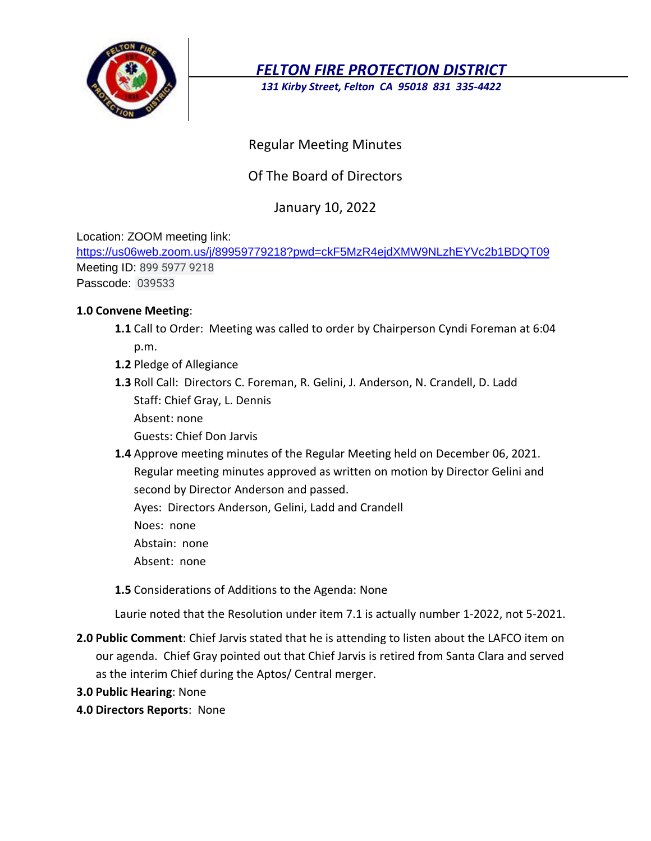

*FELTON FIRE PROTECTION DISTRICT*

*131 Kirby Street, Felton CA 95018 831 335-4422*

## Regular Meeting Minutes

# Of The Board of Directors

## January 10, 2022

Location: ZOOM meeting link:

[https://us06web.zoom.us/j/89959779218?pwd=ckF5MzR4ejdXMW9NLzhEYVc2b1BDQT09](https://www.google.com/url?q=https://us06web.zoom.us/j/89959779218?pwd%3DckF5MzR4ejdXMW9NLzhEYVc2b1BDQT09&sa=D&source=calendar&ust=1641926660310296&usg=AOvVaw1f7YpzK8hYyASi5TS6P1fc) Meeting ID: 899 5977 9218

Passcode: 039533

### **1.0 Convene Meeting**:

- **1.1** Call to Order: Meeting was called to order by Chairperson Cyndi Foreman at 6:04 p.m.
- **1.2** Pledge of Allegiance
- **1.3** Roll Call: Directors C. Foreman, R. Gelini, J. Anderson, N. Crandell, D. Ladd Staff: Chief Gray, L. Dennis
	- Absent: none
	- Guests: Chief Don Jarvis
- **1.4** Approve meeting minutes of the Regular Meeting held on December 06, 2021. Regular meeting minutes approved as written on motion by Director Gelini and second by Director Anderson and passed.

Ayes: Directors Anderson, Gelini, Ladd and Crandell

- Noes: none
- Abstain: none
- Absent: none

**1.5** Considerations of Additions to the Agenda: None

Laurie noted that the Resolution under item 7.1 is actually number 1-2022, not 5-2021.

- **2.0 Public Comment**: Chief Jarvis stated that he is attending to listen about the LAFCO item on our agenda. Chief Gray pointed out that Chief Jarvis is retired from Santa Clara and served as the interim Chief during the Aptos/ Central merger.
- **3.0 Public Hearing**: None
- **4.0 Directors Reports**: None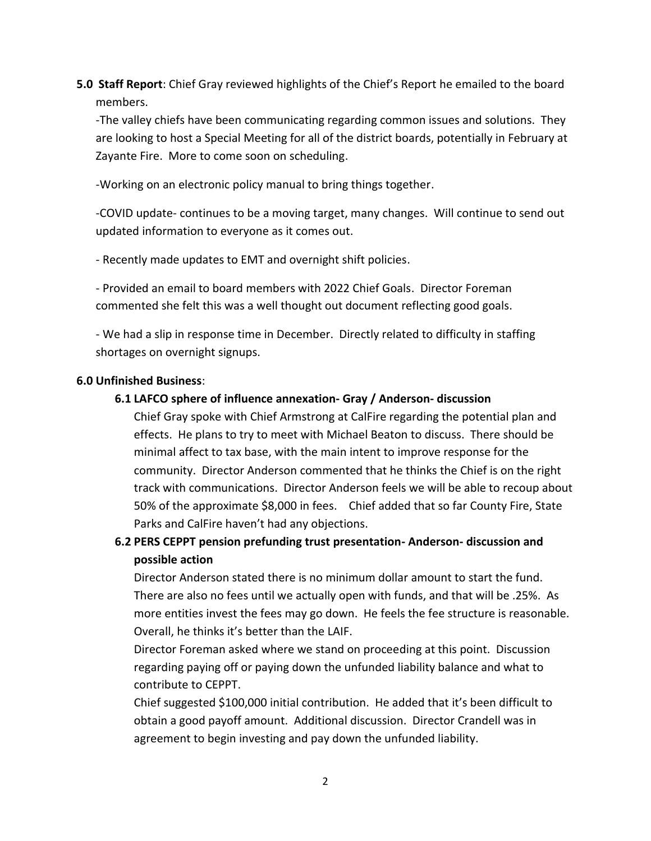**5.0 Staff Report**: Chief Gray reviewed highlights of the Chief's Report he emailed to the board members.

-The valley chiefs have been communicating regarding common issues and solutions. They are looking to host a Special Meeting for all of the district boards, potentially in February at Zayante Fire. More to come soon on scheduling.

-Working on an electronic policy manual to bring things together.

-COVID update- continues to be a moving target, many changes. Will continue to send out updated information to everyone as it comes out.

- Recently made updates to EMT and overnight shift policies.

- Provided an email to board members with 2022 Chief Goals. Director Foreman commented she felt this was a well thought out document reflecting good goals.

- We had a slip in response time in December. Directly related to difficulty in staffing shortages on overnight signups.

### **6.0 Unfinished Business**:

### **6.1 LAFCO sphere of influence annexation- Gray / Anderson- discussion**

Chief Gray spoke with Chief Armstrong at CalFire regarding the potential plan and effects. He plans to try to meet with Michael Beaton to discuss. There should be minimal affect to tax base, with the main intent to improve response for the community. Director Anderson commented that he thinks the Chief is on the right track with communications. Director Anderson feels we will be able to recoup about 50% of the approximate \$8,000 in fees. Chief added that so far County Fire, State Parks and CalFire haven't had any objections.

**6.2 PERS CEPPT pension prefunding trust presentation- Anderson- discussion and possible action**

Director Anderson stated there is no minimum dollar amount to start the fund. There are also no fees until we actually open with funds, and that will be .25%. As more entities invest the fees may go down. He feels the fee structure is reasonable. Overall, he thinks it's better than the LAIF.

Director Foreman asked where we stand on proceeding at this point. Discussion regarding paying off or paying down the unfunded liability balance and what to contribute to CEPPT.

Chief suggested \$100,000 initial contribution. He added that it's been difficult to obtain a good payoff amount. Additional discussion. Director Crandell was in agreement to begin investing and pay down the unfunded liability.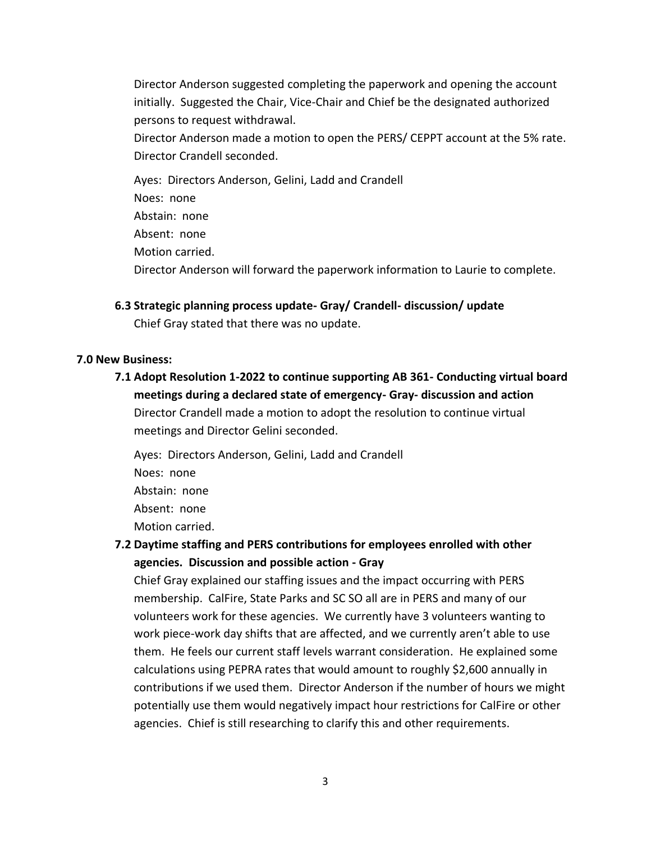Director Anderson suggested completing the paperwork and opening the account initially. Suggested the Chair, Vice-Chair and Chief be the designated authorized persons to request withdrawal.

Director Anderson made a motion to open the PERS/ CEPPT account at the 5% rate. Director Crandell seconded.

Ayes: Directors Anderson, Gelini, Ladd and Crandell Noes: none Abstain: none Absent: none Motion carried. Director Anderson will forward the paperwork information to Laurie to complete.

**6.3 Strategic planning process update- Gray/ Crandell- discussion/ update** Chief Gray stated that there was no update.

#### **7.0 New Business:**

**7.1 Adopt Resolution 1-2022 to continue supporting AB 361- Conducting virtual board meetings during a declared state of emergency- Gray- discussion and action** Director Crandell made a motion to adopt the resolution to continue virtual meetings and Director Gelini seconded.

Ayes: Directors Anderson, Gelini, Ladd and Crandell Noes: none Abstain: none Absent: none Motion carried.

**7.2 Daytime staffing and PERS contributions for employees enrolled with other agencies. Discussion and possible action - Gray**

Chief Gray explained our staffing issues and the impact occurring with PERS membership. CalFire, State Parks and SC SO all are in PERS and many of our volunteers work for these agencies. We currently have 3 volunteers wanting to work piece-work day shifts that are affected, and we currently aren't able to use them. He feels our current staff levels warrant consideration. He explained some calculations using PEPRA rates that would amount to roughly \$2,600 annually in contributions if we used them. Director Anderson if the number of hours we might potentially use them would negatively impact hour restrictions for CalFire or other agencies. Chief is still researching to clarify this and other requirements.